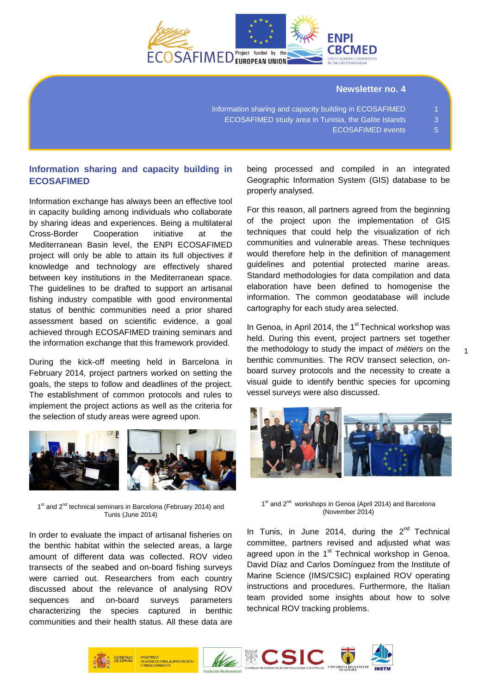

#### **Newsletter no. 4**

Information sharing and capacity building in ECOSAFIMED 1 ECOSAFIMED study area in Tunisia, the Galite Islands 3 ECOSAFIMED events 5

# **Information sharing and capacity building in ECOSAFIMED**

Information exchange has always been an effective tool in capacity building among individuals who collaborate by sharing ideas and experiences. Being a multilateral Cross-Border Cooperation initiative at the Mediterranean Basin level, the ENPI ECOSAFIMED project will only be able to attain its full objectives if knowledge and technology are effectively shared between key institutions in the Mediterranean space. The guidelines to be drafted to support an artisanal fishing industry compatible with good environmental status of benthic communities need a prior shared assessment based on scientific evidence, a goal achieved through ECOSAFIMED training seminars and the information exchange that this framework provided.

During the kick-off meeting held in Barcelona in February 2014, project partners worked on setting the goals, the steps to follow and deadlines of the project. The establishment of common protocols and rules to implement the project actions as well as the criteria for the selection of study areas were agreed upon.



1<sup>st</sup> and 2<sup>nd</sup> technical seminars in Barcelona (February 2014) and Tunis (June 2014)

In order to evaluate the impact of artisanal fisheries on the benthic habitat within the selected areas, a large amount of different data was collected. ROV video transects of the seabed and on-board fishing surveys were carried out. Researchers from each country discussed about the relevance of analysing ROV sequences and on-board surveys parameters characterizing the species captured in benthic communities and their health status. All these data are

being processed and compiled in an integrated Geographic Information System (GIS) database to be properly analysed.

For this reason, all partners agreed from the beginning of the project upon the implementation of GIS techniques that could help the visualization of rich communities and vulnerable areas. These techniques would therefore help in the definition of management guidelines and potential protected marine areas. Standard methodologies for data compilation and data elaboration have been defined to homogenise the information. The common geodatabase will include cartography for each study area selected.

In Genoa, in April 2014, the  $1<sup>st</sup>$  Technical workshop was held. During this event, project partners set together the methodology to study the impact of *métiers* on the benthic communities. The ROV transect selection, onboard survey protocols and the necessity to create a visual guide to identify benthic species for upcoming vessel surveys were also discussed.

1



1<sup>st</sup> and 2<sup>nd</sup> workshops in Genoa (April 2014) and Barcelona (November 2014)

In Tunis, in June 2014, during the  $2^{nd}$  Technical committee, partners revised and adjusted what was agreed upon in the 1<sup>st</sup> Technical workshop in Genoa. David Díaz and Carlos Domínguez from the Institute of Marine Science (IMS/CSIC) explained ROV operating instructions and procedures. Furthermore, the Italian team provided some insights about how to solve technical ROV tracking problems.







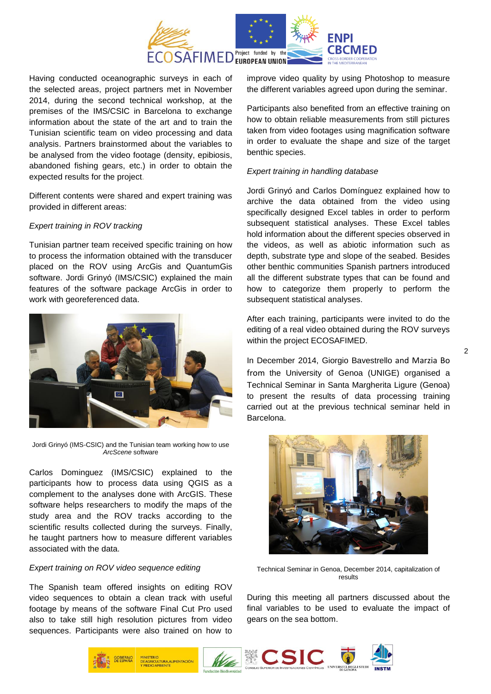

Having conducted oceanographic surveys in each of the selected areas, project partners met in November 2014, during the second technical workshop, at the premises of the IMS/CSIC in Barcelona to exchange information about the state of the art and to train the Tunisian scientific team on video processing and data analysis. Partners brainstormed about the variables to be analysed from the video footage (density, epibiosis, abandoned fishing gears, etc.) in order to obtain the expected results for the project.

Different contents were shared and expert training was provided in different areas:

### *Expert training in ROV tracking*

Tunisian partner team received specific training on how to process the information obtained with the transducer placed on the ROV using ArcGis and QuantumGis software. Jordi Grinyó (IMS/CSIC) explained the main features of the software package ArcGis in order to work with georeferenced data.



Jordi Grinyó (IMS-CSIC) and the Tunisian team working how to use *ArcScene* software

Carlos Dominguez (IMS/CSIC) explained to the participants how to process data using QGIS as a complement to the analyses done with ArcGIS. These software helps researchers to modify the maps of the study area and the ROV tracks according to the scientific results collected during the surveys. Finally, he taught partners how to measure different variables associated with the data.

#### *Expert training on ROV video sequence editing*

The Spanish team offered insights on editing ROV video sequences to obtain a clean track with useful footage by means of the software Final Cut Pro used also to take still high resolution pictures from video sequences. Participants were also trained on how to

improve video quality by using Photoshop to measure the different variables agreed upon during the seminar.

Participants also benefited from an effective training on how to obtain reliable measurements from still pictures taken from video footages using magnification software in order to evaluate the shape and size of the target benthic species.

#### *Expert training in handling database*

Jordi Grinyó and Carlos Domínguez explained how to archive the data obtained from the video using specifically designed Excel tables in order to perform subsequent statistical analyses. These Excel tables hold information about the different species observed in the videos, as well as abiotic information such as depth, substrate type and slope of the seabed. Besides other benthic communities Spanish partners introduced all the different substrate types that can be found and how to categorize them properly to perform the subsequent statistical analyses.

After each training, participants were invited to do the editing of a real video obtained during the ROV surveys within the project ECOSAFIMED.

In December 2014, Giorgio Bavestrello and Marzia Bo from the University of Genoa (UNIGE) organised a Technical Seminar in Santa Margherita Ligure (Genoa) to present the results of data processing training carried out at the previous technical seminar held in Barcelona.



Technical Seminar in Genoa, December 2014, capitalization of results

During this meeting all partners discussed about the final variables to be used to evaluate the impact of gears on the sea bottom.

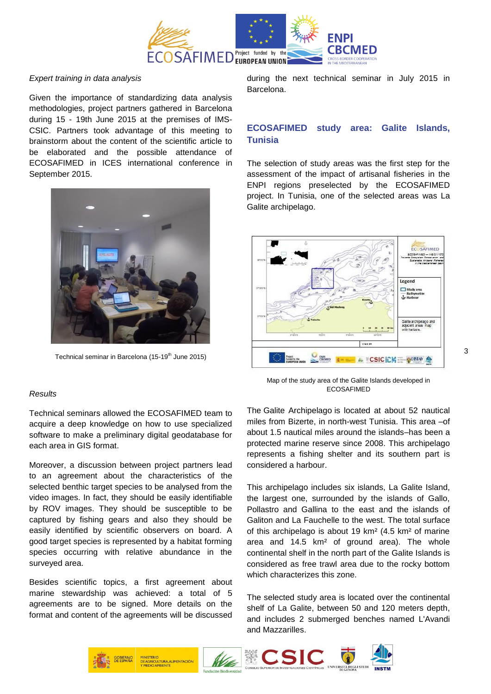

### *Expert training in data analysis*

Given the importance of standardizing data analysis methodologies, project partners gathered in Barcelona during 15 - 19th June 2015 at the premises of IMS-CSIC. Partners took advantage of this meeting to brainstorm about the content of the scientific article to be elaborated and the possible attendance of ECOSAFIMED in ICES international conference in September 2015.



Technical seminar in Barcelona (15-19<sup>th</sup> June 2015)

## *Results*

Technical seminars allowed the ECOSAFIMED team to acquire a deep knowledge on how to use specialized software to make a preliminary digital geodatabase for each area in GIS format.

Moreover, a discussion between project partners lead to an agreement about the characteristics of the selected benthic target species to be analysed from the video images. In fact, they should be easily identifiable by ROV images. They should be susceptible to be captured by fishing gears and also they should be easily identified by scientific observers on board. A good target species is represented by a habitat forming species occurring with relative abundance in the surveyed area.

Besides scientific topics, a first agreement about marine stewardship was achieved: a total of 5 agreements are to be signed. More details on the format and content of the agreements will be discussed

during the next technical seminar in July 2015 in Barcelona.

# **ECOSAFIMED study area: Galite Islands, Tunisia**

The selection of study areas was the first step for the assessment of the impact of artisanal fisheries in the ENPI regions preselected by the ECOSAFIMED project. In Tunisia, one of the selected areas was La Galite archipelago.



Map of the study area of the Galite Islands developed in ECOSAFIMED

The Galite Archipelago is located at about 52 nautical miles from Bizerte, in north-west Tunisia. This area –of about 1.5 nautical miles around the islands–has been a protected marine reserve since 2008. This archipelago represents a fishing shelter and its southern part is considered a harbour.

This archipelago includes six islands, La Galite Island, the largest one, surrounded by the islands of Gallo, Pollastro and Gallina to the east and the islands of Galiton and La Fauchelle to the west. The total surface of this archipelago is about 19 km² (4.5 km² of marine area and 14.5 km² of ground area). The whole continental shelf in the north part of the Galite Islands is considered as free trawl area due to the rocky bottom which characterizes this zone.

The selected study area is located over the continental shelf of La Galite, between 50 and 120 meters depth, and includes 2 submerged benches named L'Avandi and Mazzarilles.

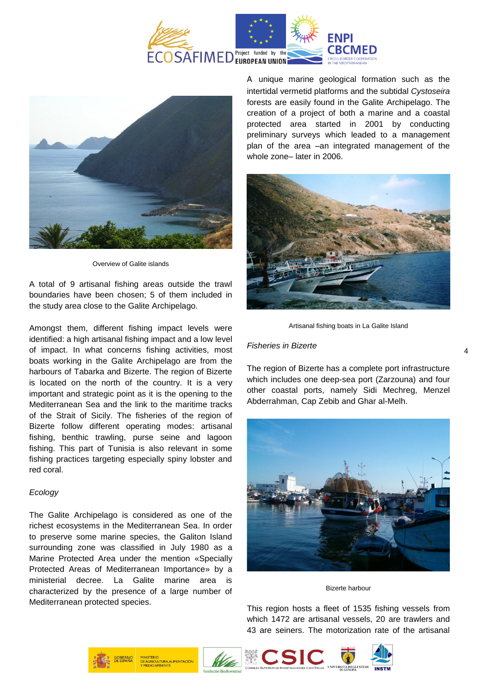



Overview of Galite islands

A total of 9 artisanal fishing areas outside the trawl boundaries have been chosen; 5 of them included in the study area close to the Galite Archipelago.

Amongst them, different fishing impact levels were identified: a high artisanal fishing impact and a low level of impact. In what concerns fishing activities, most boats working in the Galite Archipelago are from the harbours of Tabarka and Bizerte. The region of Bizerte is located on the north of the country. It is a very important and strategic point as it is the opening to the Mediterranean Sea and the link to the maritime tracks of the Strait of Sicily. The fisheries of the region of Bizerte follow different operating modes: artisanal fishing, benthic trawling, purse seine and lagoon fishing. This part of Tunisia is also relevant in some fishing practices targeting especially spiny lobster and red coral.

#### *Ecology*

The Galite Archipelago is considered as one of the richest ecosystems in the Mediterranean Sea. In order to preserve some marine species, the Galiton Island surrounding zone was classified in July 1980 as a Marine Protected Area under the mention «Specially Protected Areas of Mediterranean Importance» by a ministerial decree. La Galite marine area is characterized by the presence of a large number of Mediterranean protected species.

A unique marine geological formation such as the intertidal vermetid platforms and the subtidal *Cystoseira* forests are easily found in the Galite Archipelago. The creation of a project of both a marine and a coastal protected area started in 2001 by conducting preliminary surveys which leaded to a management plan of the area –an integrated management of the whole zone– later in 2006.



Artisanal fishing boats in La Galite Island

#### *Fisheries in Bizerte*

The region of Bizerte has a complete port infrastructure which includes one deep-sea port (Zarzouna) and four other coastal ports, namely Sidi Mechreg, Menzel Abderrahman, Cap Zebib and Ghar al-Melh.



Bizerte harbour

This region hosts a fleet of 1535 fishing vessels from which 1472 are artisanal vessels, 20 are trawlers and 43 are seiners. The motorization rate of the artisanal

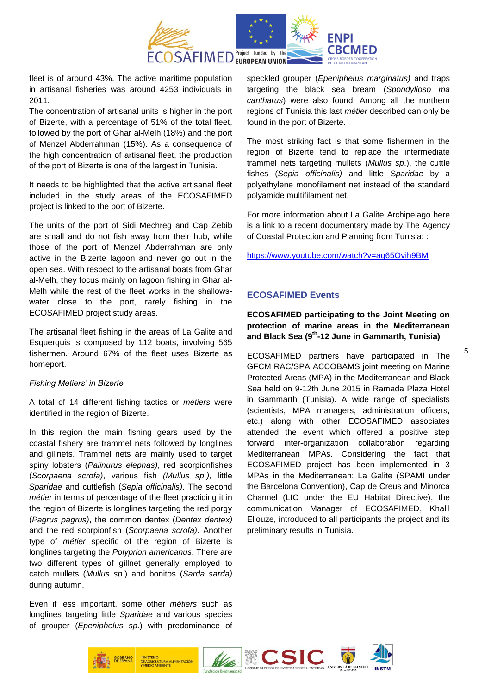

fleet is of around 43%. The active maritime population in artisanal fisheries was around 4253 individuals in 2011.

The concentration of artisanal units is higher in the port of Bizerte, with a percentage of 51% of the total fleet, followed by the port of Ghar al-Melh (18%) and the port of Menzel Abderrahman (15%). As a consequence of the high concentration of artisanal fleet, the production of the port of Bizerte is one of the largest in Tunisia.

It needs to be highlighted that the active artisanal fleet included in the study areas of the ECOSAFIMED project is linked to the port of Bizerte.

The units of the port of Sidi Mechreg and Cap Zebib are small and do not fish away from their hub, while those of the port of Menzel Abderrahman are only active in the Bizerte lagoon and never go out in the open sea. With respect to the artisanal boats from Ghar al-Melh, they focus mainly on lagoon fishing in Ghar al-Melh while the rest of the fleet works in the shallowswater close to the port, rarely fishing in the ECOSAFIMED project study areas.

The artisanal fleet fishing in the areas of La Galite and Esquerquis is composed by 112 boats, involving 565 fishermen. Around 67% of the fleet uses Bizerte as homeport.

#### *Fishing Metiers' in Bizerte*

A total of 14 different fishing tactics or *métiers* were identified in the region of Bizerte.

In this region the main fishing gears used by the coastal fishery are trammel nets followed by longlines and gillnets. Trammel nets are mainly used to target spiny lobsters (*Palinurus elephas)*, red scorpionfishes (*Scorpaena scrofa)*, various fish *(Mullus sp.),* little *Sparidae* and cuttlefish (*Sepia officinalis)*. The second *métier* in terms of percentage of the fleet practicing it in the region of Bizerte is longlines targeting the red porgy (*Pagrus pagrus)*, the common dentex (*Dentex dentex)* and the red scorpionfish (*Scorpaena scrofa)*. Another type of *métier* specific of the region of Bizerte is longlines targeting the *Polyprion americanus*. There are two different types of gillnet generally employed to catch mullets (*Mullus sp*.) and bonitos (*Sarda sarda)* during autumn.

Even if less important, some other *métiers* such as longlines targeting little *Sparidae* and various species of grouper (*Epeniphelus sp*.) with predominance of speckled grouper (*Epeniphelus marginatus)* and traps targeting the black sea bream (*Spondylioso ma cantharus*) were also found. Among all the northern regions of Tunisia this last *métier* described can only be found in the port of Bizerte.

The most striking fact is that some fishermen in the region of Bizerte tend to replace the intermediate trammel nets targeting mullets (*Mullus sp*.), the cuttle fishes (*Sepia officinalis)* and little S*paridae* by a polyethylene monofilament net instead of the standard polyamide multifilament net.

For more information about La Galite Archipelago here is a link to a recent documentary made by The Agency of Coastal Protection and Planning from Tunisia: :

<https://www.youtube.com/watch?v=aq65Ovih9BM>

# **ECOSAFIMED Events**

**ECOSAFIMED participating to the Joint Meeting on protection of marine areas in the Mediterranean and Black Sea (9 th -12 June in Gammarth, Tunisia)**

ECOSAFIMED partners have participated in The GFCM RAC/SPA ACCOBAMS joint meeting on Marine Protected Areas (MPA) in the Mediterranean and Black Sea held on 9-12th June 2015 in Ramada Plaza Hotel in Gammarth (Tunisia). A wide range of specialists (scientists, MPA managers, administration officers, etc.) along with other ECOSAFIMED associates attended the event which offered a positive step forward inter-organization collaboration regarding Mediterranean MPAs. Considering the fact that ECOSAFIMED project has been implemented in 3 MPAs in the Mediterranean: La Galite (SPAMI under the Barcelona Convention), Cap de Creus and Minorca Channel (LIC under the EU Habitat Directive), the communication Manager of ECOSAFIMED, Khalil Ellouze, introduced to all participants the project and its preliminary results in Tunisia.